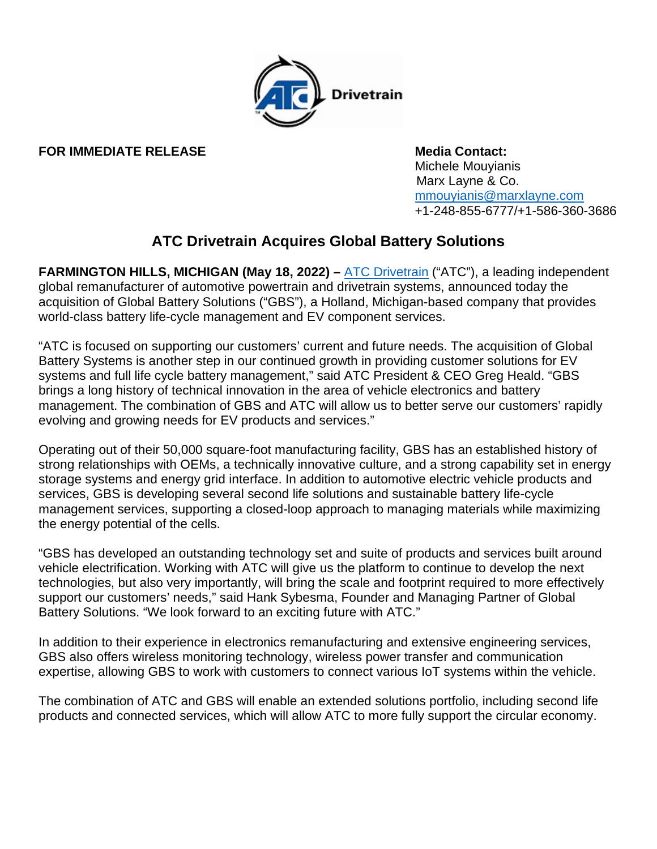

## **FOR IMMEDIATE RELEASE Media Contact:**

 Michele Mouyianis Marx Layne & Co. [mmouyianis@marxlayne.com](mailto:mmouyianis@marxlayne.com) +1-248-855-6777/+1-586-360-3686

## **ATC Drivetrain Acquires Global Battery Solutions**

**FARMINGTON HILLS, MICHIGAN (May 18, 2022) –** [ATC Drivetrain](http://www.atcdrivetrain.com/) ("ATC"), a leading independent global remanufacturer of automotive powertrain and drivetrain systems, announced today the acquisition of Global Battery Solutions ("GBS"), a Holland, Michigan-based company that provides world-class battery life-cycle management and EV component services.

"ATC is focused on supporting our customers' current and future needs. The acquisition of Global Battery Systems is another step in our continued growth in providing customer solutions for EV systems and full life cycle battery management," said ATC President & CEO Greg Heald. "GBS brings a long history of technical innovation in the area of vehicle electronics and battery management. The combination of GBS and ATC will allow us to better serve our customers' rapidly evolving and growing needs for EV products and services."

Operating out of their 50,000 square-foot manufacturing facility, GBS has an established history of strong relationships with OEMs, a technically innovative culture, and a strong capability set in energy storage systems and energy grid interface. In addition to automotive electric vehicle products and services, GBS is developing several second life solutions and sustainable battery life-cycle management services, supporting a closed-loop approach to managing materials while maximizing the energy potential of the cells.

"GBS has developed an outstanding technology set and suite of products and services built around vehicle electrification. Working with ATC will give us the platform to continue to develop the next technologies, but also very importantly, will bring the scale and footprint required to more effectively support our customers' needs," said Hank Sybesma, Founder and Managing Partner of Global Battery Solutions. "We look forward to an exciting future with ATC."

In addition to their experience in electronics remanufacturing and extensive engineering services, GBS also offers wireless monitoring technology, wireless power transfer and communication expertise, allowing GBS to work with customers to connect various IoT systems within the vehicle.

The combination of ATC and GBS will enable an extended solutions portfolio, including second life products and connected services, which will allow ATC to more fully support the circular economy.